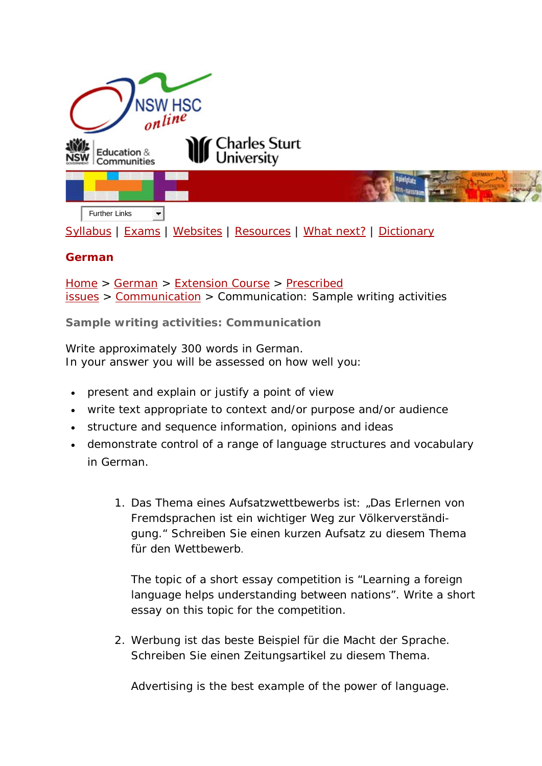

[Syllabus](http://www.boardofstudies.nsw.edu.au/syllabus_hsc/) | [Exams](http://www.boardofstudies.nsw.edu.au/hsc_exams/) | [Websites](http://www.hsc.csu.edu.au/german/websites/4262/german_websites.htm) | [Resources](http://www.hsc.csu.edu.au/german/resources/2367/index.htm) | [What next?](http://www.hsc.csu.edu.au/german/what_next/2369/index.html) | [Dictionary](http://www.hsc.csu.edu.au/german/dictionary/2370/index.htm)

## **German**

[Home](http://www.hsc.csu.edu.au/) > [German](http://www.hsc.csu.edu.au/german/) > [Extension Course](http://www.hsc.csu.edu.au/german/#112077) > [Prescribed](http://www.hsc.csu.edu.au/german/#112078)  [issues](http://www.hsc.csu.edu.au/german/#112078) > [Communication](http://www.hsc.csu.edu.au/german/extension/issues/society/) > Communication: Sample writing activities

**Sample writing activities: Communication**

Write approximately 300 words in German. In your answer you will be assessed on how well you:

- present and explain or justify a point of view
- write text appropriate to context and/or purpose and/or audience
- structure and sequence information, opinions and ideas
- demonstrate control of a range of language structures and vocabulary in German.
	- 1. *Das Thema eines Aufsatzwettbewerbs ist*: "*Das Erlernen von Fremdsprachen ist ein wichtiger Weg zur Völkerverständigung.*" *Schreiben Sie einen kurzen Aufsatz zu diesem Thema für den Wettbewerb.*

The topic of a short essay competition is "Learning a foreign language helps understanding between nations". Write a short essay on this topic for the competition.

2. *Werbung ist das beste Beispiel für die Macht der Sprache. Schreiben Sie einen Zeitungsartikel zu diesem Thema.*

Advertising is the best example of the power of language.